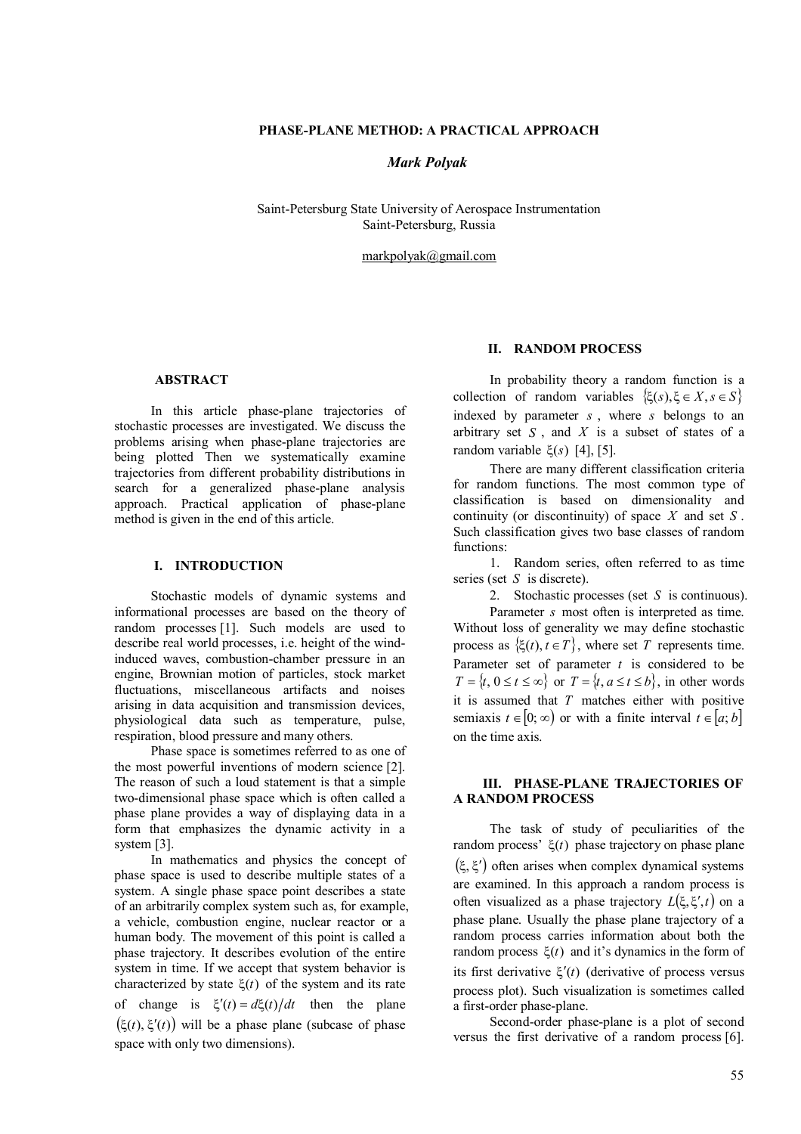## **PHASE-PLANE METHOD: A PRACTICAL APPROACH**

### *Mark Polyak*

Saint-Petersburg State University of Aerospace Instrumentation Saint-Petersburg, Russia

markpolyak@gmail.com

## **ABSTRACT**

In this article phase-plane trajectories of stochastic processes are investigated. We discuss the problems arising when phase-plane trajectories are being plotted Then we systematically examine trajectories from different probability distributions in search for a generalized phase-plane analysis approach. Practical application of phase-plane method is given in the end of this article.

## **I. INTRODUCTION**

Stochastic models of dynamic systems and informational processes are based on the theory of random processes [1]. Such models are used to describe real world processes, i.e. height of the windinduced waves, combustion-chamber pressure in an engine, Brownian motion of particles, stock market fluctuations, miscellaneous artifacts and noises arising in data acquisition and transmission devices, physiological data such as temperature, pulse, respiration, blood pressure and many others.

Phase space is sometimes referred to as one of the most powerful inventions of modern science [2]. The reason of such a loud statement is that a simple two-dimensional phase space which is often called a phase plane provides a way of displaying data in a form that emphasizes the dynamic activity in a system [3].

In mathematics and physics the concept of phase space is used to describe multiple states of a system. A single phase space point describes a state of an arbitrarily complex system such as, for example, a vehicle, combustion engine, nuclear reactor or a human body. The movement of this point is called a phase trajectory. It describes evolution of the entire system in time. If we accept that system behavior is characterized by state  $\xi(t)$  of the system and its rate of change is  $\xi'(t) = d\xi(t)/dt$  then the plane  $(\xi(t), \xi'(t))$  will be a phase plane (subcase of phase space with only two dimensions).

#### **II. RANDOM PROCESS**

In probability theory a random function is a collection of random variables  $\{ \xi(s), \xi \in X, s \in S \}$ indexed by parameter *s* , where *s* belongs to an arbitrary set *S* , and *X* is a subset of states of a random variable  $\xi(s)$  [4], [5].

There are many different classification criteria for random functions. The most common type of classification is based on dimensionality and continuity (or discontinuity) of space *X* and set *S* . Such classification gives two base classes of random functions:

1. Random series, often referred to as time series (set *S* is discrete).

2. Stochastic processes (set *S* is continuous).

Parameter *s* most often is interpreted as time. Without loss of generality we may define stochastic process as  $\{\xi(t), t \in T\}$ , where set *T* represents time. Parameter set of parameter  $t$  is considered to be  $T = \{t, 0 \le t \le \infty\}$  or  $T = \{t, a \le t \le b\}$ , in other words it is assumed that *T* matches either with positive semiaxis  $t \in [0; \infty)$  or with a finite interval  $t \in [a; b]$ on the time axis.

# **III. PHASE-PLANE TRAJECTORIES OF A RANDOM PROCESS**

The task of study of peculiarities of the random process'  $\xi(t)$  phase trajectory on phase plane  $(\xi, \xi')$  often arises when complex dynamical systems are examined. In this approach a random process is often visualized as a phase trajectory  $L(\xi, \xi', t)$  on a phase plane. Usually the phase plane trajectory of a random process carries information about both the random process  $\xi(t)$  and it's dynamics in the form of its first derivative  $\xi'(t)$  (derivative of process versus process plot). Such visualization is sometimes called a first-order phase-plane.

Second-order phase-plane is a plot of second versus the first derivative of a random process [6].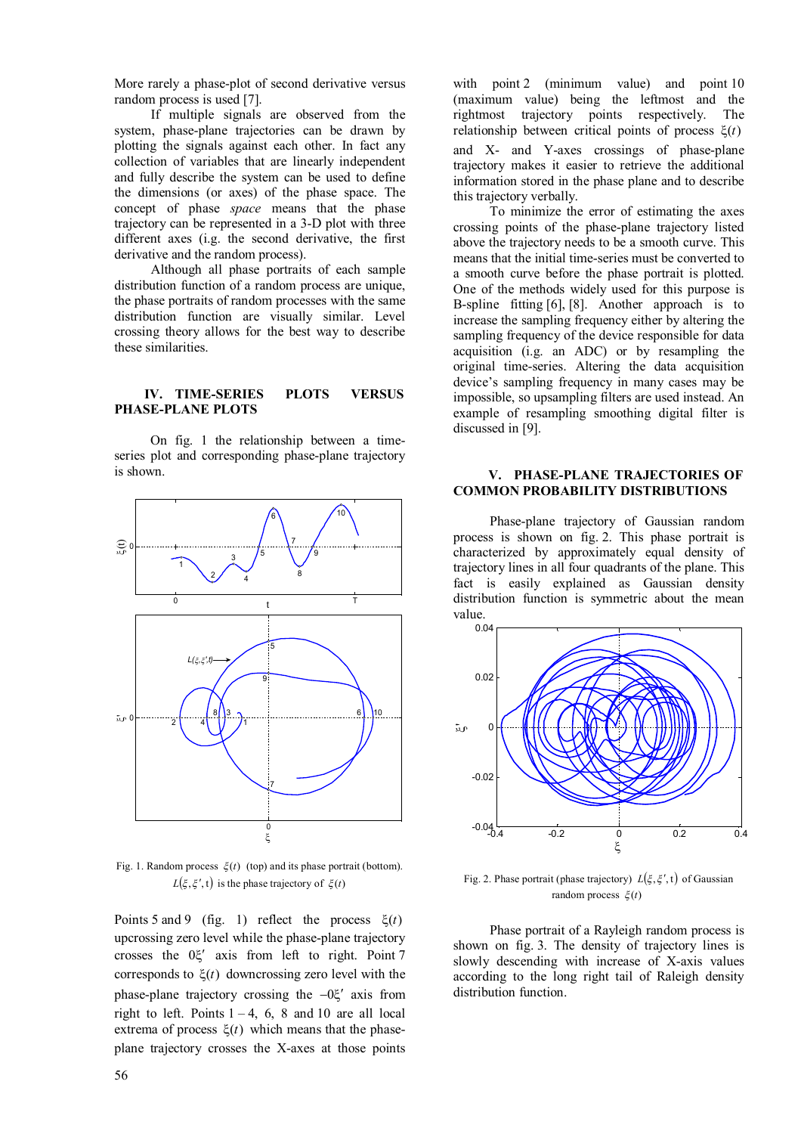More rarely a phase-plot of second derivative versus random process is used [7].

If multiple signals are observed from the system, phase-plane trajectories can be drawn by plotting the signals against each other. In fact any collection of variables that are linearly independent and fully describe the system can be used to define the dimensions (or axes) of the phase space. The concept of phase *space* means that the phase trajectory can be represented in a 3-D plot with three different axes (i.g. the second derivative, the first derivative and the random process).

Although all phase portraits of each sample distribution function of a random process are unique, the phase portraits of random processes with the same distribution function are visually similar. Level crossing theory allows for the best way to describe these similarities.

### **IV. TIME-SERIES PLOTS VERSUS PHASE-PLANE PLOTS**

On fig. 1 the relationship between a timeseries plot and corresponding phase-plane trajectory is shown.



Fig. 1. Random process  $\zeta(t)$  (top) and its phase portrait (bottom).  $L(\xi, \xi', t)$  is the phase trajectory of  $\xi(t)$ 

Points 5 and 9 (fig. 1) reflect the process  $\xi(t)$ upcrossing zero level while the phase-plane trajectory crosses the  $0\xi'$  axis from left to right. Point 7 corresponds to  $\xi(t)$  downcrossing zero level with the phase-plane trajectory crossing the  $-0\xi'$  axis from right to left. Points  $1 - 4$ , 6, 8 and 10 are all local extrema of process  $\xi(t)$  which means that the phaseplane trajectory crosses the X-axes at those points

with point 2 (minimum value) and point 10 (maximum value) being the leftmost and the rightmost trajectory points respectively. The rightmost trajectory points respectively. relationship between critical points of process  $\xi(t)$ and X- and Y-axes crossings of phase-plane trajectory makes it easier to retrieve the additional information stored in the phase plane and to describe this trajectory verbally.

To minimize the error of estimating the axes crossing points of the phase-plane trajectory listed above the trajectory needs to be a smooth curve. This means that the initial time-series must be converted to a smooth curve before the phase portrait is plotted. One of the methods widely used for this purpose is B-spline fitting [6], [8]. Another approach is to increase the sampling frequency either by altering the sampling frequency of the device responsible for data acquisition (i.g. an ADC) or by resampling the original time-series. Altering the data acquisition device's sampling frequency in many cases may be impossible, so upsampling filters are used instead. An example of resampling smoothing digital filter is discussed in [9].

#### **V. PHASE-PLANE TRAJECTORIES OF COMMON PROBABILITY DISTRIBUTIONS**

Phase-plane trajectory of Gaussian random process is shown on fig. 2. This phase portrait is characterized by approximately equal density of trajectory lines in all four quadrants of the plane. This fact is easily explained as Gaussian density distribution function is symmetric about the mean value.



Fig. 2. Phase portrait (phase trajectory)  $L(\xi, \xi', t)$  of Gaussian random process  $\xi(t)$ 

Phase portrait of a Rayleigh random process is shown on fig. 3. The density of trajectory lines is slowly descending with increase of X-axis values according to the long right tail of Raleigh density distribution function.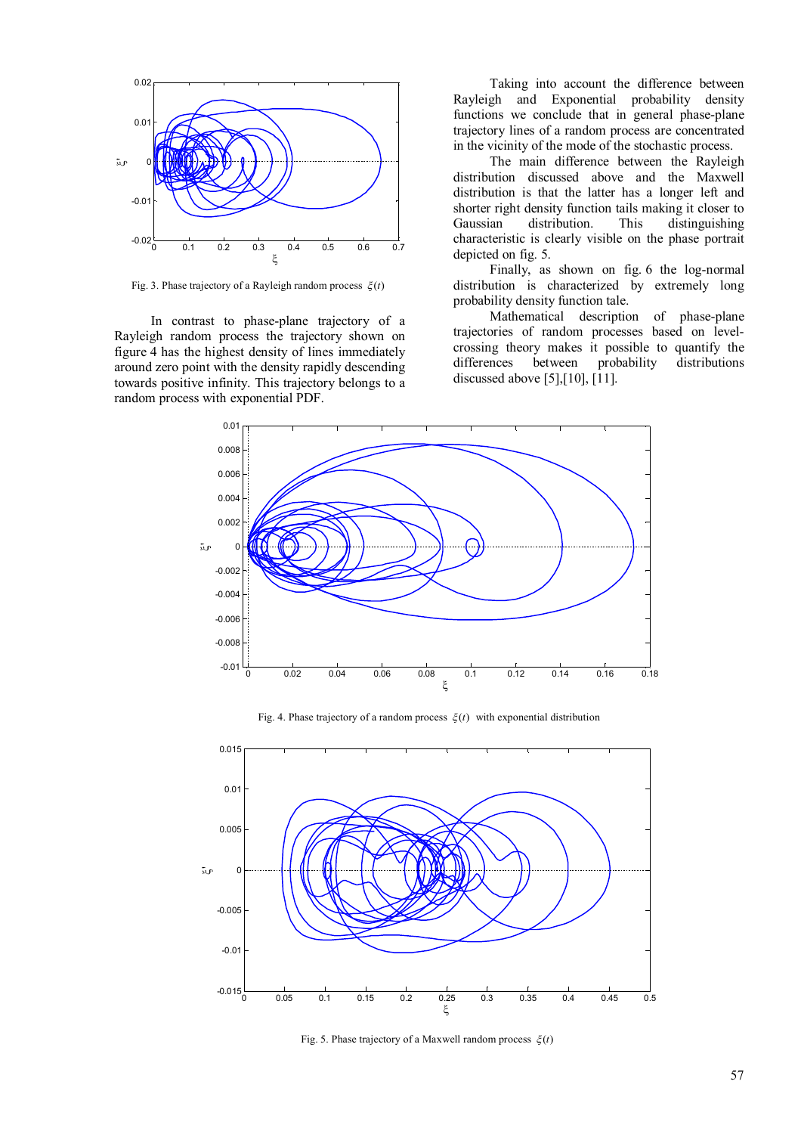

Fig. 3. Phase trajectory of a Rayleigh random process  $\xi(t)$ 

In contrast to phase-plane trajectory of a Rayleigh random process the trajectory shown on figure 4 has the highest density of lines immediately around zero point with the density rapidly descending towards positive infinity. This trajectory belongs to a random process with exponential PDF.

Taking into account the difference between Rayleigh and Exponential probability density functions we conclude that in general phase-plane trajectory lines of a random process are concentrated in the vicinity of the mode of the stochastic process.

The main difference between the Rayleigh distribution discussed above and the Maxwell distribution is that the latter has a longer left and shorter right density function tails making it closer to Gaussian distribution. This distinguishing characteristic is clearly visible on the phase portrait depicted on fig. 5.

Finally, as shown on fig. 6 the log-normal distribution is characterized by extremely long probability density function tale.

Mathematical description of phase-plane trajectories of random processes based on levelcrossing theory makes it possible to quantify the differences between probability distributions discussed above [5],[10], [11].



Fig. 4. Phase trajectory of a random process  $\xi(t)$  with exponential distribution



Fig. 5. Phase trajectory of a Maxwell random process  $\xi(t)$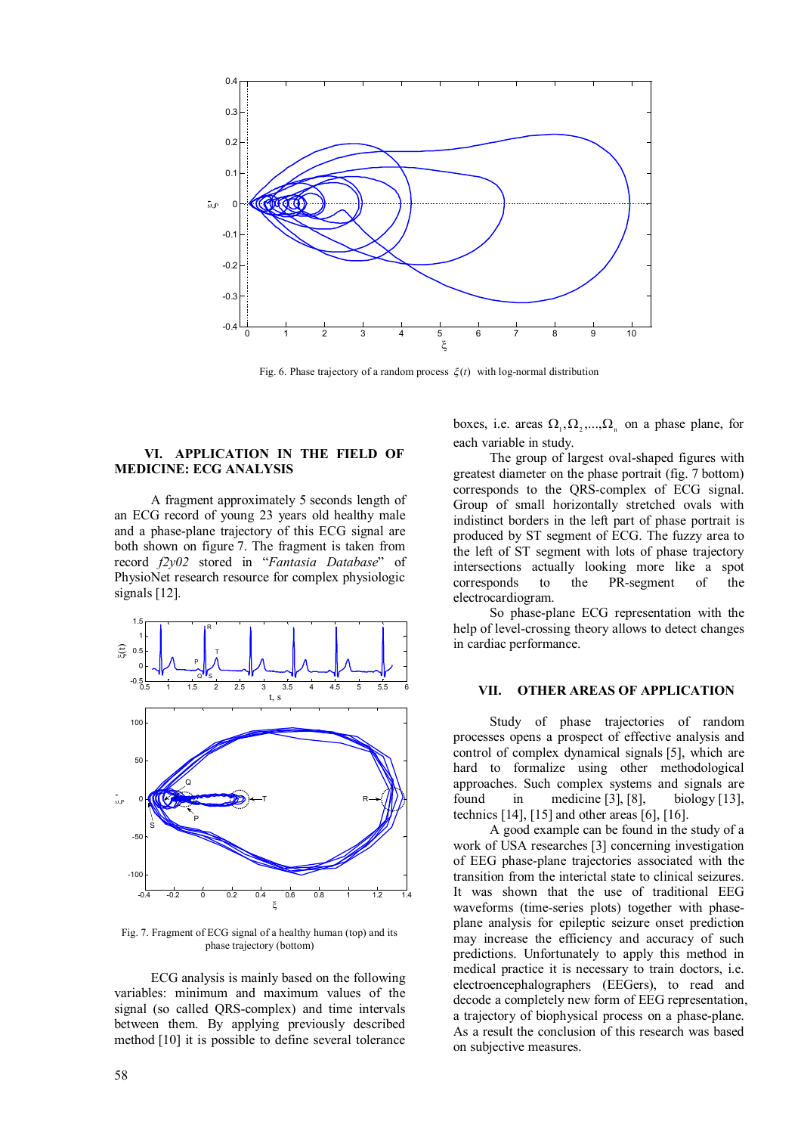

Fig. 6. Phase trajectory of a random process  $\xi(t)$  with log-normal distribution

### **VI. APPLICATION IN THE FIELD OF MEDICINE: ECG ANALYSIS**

A fragment approximately 5 seconds length of an ECG record of young 23 years old healthy male and a phase-plane trajectory of this ECG signal are both shown on figure 7. The fragment is taken from record *f2y02* stored in "*Fantasia Database*" of PhysioNet research resource for complex physiologic signals [12].



Fig. 7. Fragment of ECG signal of a healthy human (top) and its phase trajectory (bottom)

ECG analysis is mainly based on the following variables: minimum and maximum values of the signal (so called QRS-complex) and time intervals between them. By applying previously described method [10] it is possible to define several tolerance

boxes, i.e. areas  $\Omega_1, \Omega_2, ..., \Omega_n$  on a phase plane, for each variable in study.

The group of largest oval-shaped figures with greatest diameter on the phase portrait (fig. 7 bottom) corresponds to the QRS-complex of ECG signal. Group of small horizontally stretched ovals with indistinct borders in the left part of phase portrait is produced by ST segment of ECG. The fuzzy area to the left of ST segment with lots of phase trajectory intersections actually looking more like a spot corresponds to the PR-segment of the electrocardiogram.

So phase-plane ECG representation with the help of level-crossing theory allows to detect changes in cardiac performance.

# **VII. OTHER AREAS OF APPLICATION**

Study of phase trajectories of random processes opens a prospect of effective analysis and control of complex dynamical signals [5], which are hard to formalize using other methodological approaches. Such complex systems and signals are found in medicine [3], [8], biology [13], technics [14], [15] and other areas [6], [16].

A good example can be found in the study of a work of USA researches [3] concerning investigation of EEG phase-plane trajectories associated with the transition from the interictal state to clinical seizures. It was shown that the use of traditional EEG waveforms (time-series plots) together with phaseplane analysis for epileptic seizure onset prediction may increase the efficiency and accuracy of such predictions. Unfortunately to apply this method in medical practice it is necessary to train doctors, i.e. electroencephalographers (EEGers), to read and decode a completely new form of EEG representation, a trajectory of biophysical process on a phase-plane. As a result the conclusion of this research was based on subjective measures.